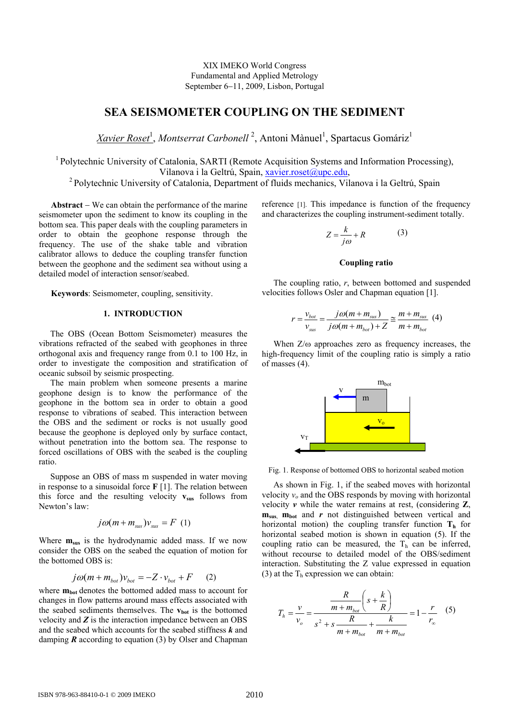XIX IMEKO World Congress Fundamental and Applied Metrology September 6−11, 2009, Lisbon, Portugal

# **SEA SEISMOMETER COUPLING ON THE SEDIMENT**

*Xavier Roset<sup>1</sup>, Montserrat Carbonell<sup>2</sup>, Antoni Mànuel<sup>1</sup>, Spartacus Gomáriz<sup>1</sup>* 

<sup>1</sup> Polytechnic University of Catalonia, SARTI (Remote Acquisition Systems and Information Processing), Vilanova i la Geltrú, Spain, xavier.roset@upc.edu,<br><sup>2</sup> Polytechnic University of Catalonia, Department of fluids mechanics, Vilanova i la Geltrú, Spain

**Abstract** − We can obtain the performance of the marine seismometer upon the sediment to know its coupling in the bottom sea. This paper deals with the coupling parameters in order to obtain the geophone response through the frequency. The use of the shake table and vibration calibrator allows to deduce the coupling transfer function between the geophone and the sediment sea without using a detailed model of interaction sensor/seabed.

**Keywords**: Seismometer, coupling, sensitivity.

# **1. INTRODUCTION**

The OBS (Ocean Bottom Seismometer) measures the vibrations refracted of the seabed with geophones in three orthogonal axis and frequency range from 0.1 to 100 Hz, in order to investigate the composition and stratification of oceanic subsoil by seismic prospecting.

The main problem when someone presents a marine geophone design is to know the performance of the geophone in the bottom sea in order to obtain a good response to vibrations of seabed. This interaction between the OBS and the sediment or rocks is not usually good because the geophone is deployed only by surface contact, without penetration into the bottom sea. The response to forced oscillations of OBS with the seabed is the coupling ratio.

Suppose an OBS of mass m suspended in water moving in response to a sinusoidal force **F** [1]. The relation between this force and the resulting velocity  $v_{\text{sus}}$  follows from Newton's law:

$$
j\omega(m+m_{\rm sus})v_{\rm sus}=F(1)
$$

Where  $m_{sus}$  is the hydrodynamic added mass. If we now consider the OBS on the seabed the equation of motion for the bottomed OBS is:

$$
j\omega(m + m_{bot})v_{bot} = -Z \cdot v_{bot} + F \qquad (2)
$$

where  $m_{bot}$  denotes the bottomed added mass to account for changes in flow patterns around mass effects associated with the seabed sediments themselves. The  $v_{bot}$  is the bottomed velocity and *Z* is the interaction impedance between an OBS and the seabed which accounts for the seabed stiffness *k* and damping *R* according to equation (3) by Olser and Chapman reference [1]. This impedance is function of the frequency and characterizes the coupling instrument-sediment totally.

$$
Z = \frac{k}{j\omega} + R \tag{3}
$$

#### **Coupling ratio**

The coupling ratio, *r*, between bottomed and suspended velocities follows Osler and Chapman equation [1].

$$
r = \frac{v_{bot}}{v_{sus}} = \frac{j\omega(m + m_{sus})}{j\omega(m + m_{bot}) + Z} \approx \frac{m + m_{sus}}{m + m_{bot}} \tag{4}
$$

When  $Z/\omega$  approaches zero as frequency increases, the high-frequency limit of the coupling ratio is simply a ratio of masses (4).



Fig. 1. Response of bottomed OBS to horizontal seabed motion

As shown in Fig. 1, if the seabed moves with horizontal velocity  $v<sub>o</sub>$  and the OBS responds by moving with horizontal velocity *v* while the water remains at rest, (considering **Z**, **m**<sub>sus</sub>, **m**<sub>bot</sub> and *r* not distinguished between vertical and horizontal motion) the coupling transfer function  $T<sub>h</sub>$  for horizontal seabed motion is shown in equation (5). If the coupling ratio can be measured, the  $T<sub>h</sub>$  can be inferred, without recourse to detailed model of the OBS/sediment interaction. Substituting the Z value expressed in equation (3) at the  $T<sub>h</sub>$  expression we can obtain:

$$
T_{h} = \frac{v}{v_{o}} = \frac{\frac{R}{m + m_{bot}} \left(s + \frac{k}{R}\right)}{s^{2} + s \frac{R}{m + m_{bot}} + \frac{k}{m + m_{bot}}} = 1 - \frac{r}{r_{\infty}} \quad (5)
$$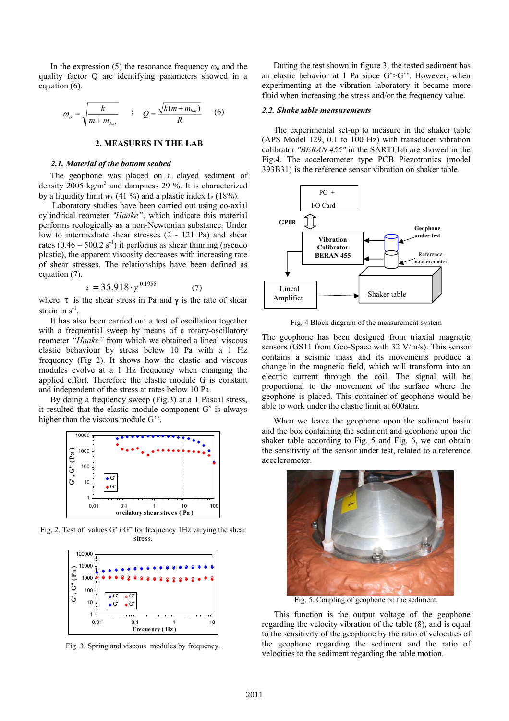In the expression (5) the resonance frequency  $\omega_0$  and the quality factor Q are identifying parameters showed in a equation (6).

$$
\omega_o = \sqrt{\frac{k}{m + m_{bot}}} \qquad ; \qquad Q = \frac{\sqrt{k(m + m_{bot})}}{R} \tag{6}
$$

#### **2. MEASURES IN THE LAB**

# *2.1. Material of the bottom seabed*

The geophone was placed on a clayed sediment of density  $2005 \text{ kg/m}^3$  and dampness 29 %. It is characterized by a liquidity limit  $w_L$  (41 %) and a plastic index I<sub>P</sub> (18%).

 Laboratory studies have been carried out using co-axial cylindrical reometer *"Haake"*, which indicate this material performs reologically as a non-Newtonian substance. Under low to intermediate shear stresses (2 - 121 Pa) and shear rates  $(0.46 - 500.2 \text{ s}^{-1})$  it performs as shear thinning (pseudo plastic), the apparent viscosity decreases with increasing rate of shear stresses. The relationships have been defined as equation (7).

$$
\tau = 35.918 \cdot \gamma^{0,1955} \tag{7}
$$

where  $\tau$  is the shear stress in Pa and  $\gamma$  is the rate of shear strain in  $s^{-1}$ .

It has also been carried out a test of oscillation together with a frequential sweep by means of a rotary-oscillatory reometer *"Haake"* from which we obtained a lineal viscous elastic behaviour by stress below 10 Pa with a 1 Hz frequency (Fig 2). It shows how the elastic and viscous modules evolve at a 1 Hz frequency when changing the applied effort. Therefore the elastic module G is constant and independent of the stress at rates below 10 Pa.

By doing a frequency sweep (Fig.3) at a 1 Pascal stress, it resulted that the elastic module component G' is always higher than the viscous module G''.



Fig. 2. Test of values G' i G" for frequency 1Hz varying the shear stress.



Fig. 3. Spring and viscous modules by frequency.

During the test shown in figure 3, the tested sediment has an elastic behavior at 1 Pa since G'>G''. However, when experimenting at the vibration laboratory it became more fluid when increasing the stress and/or the frequency value.

#### *2.2. Shake table measurements*

The experimental set-up to measure in the shaker table (APS Model 129, 0.1 to 100 Hz) with transducer vibration calibrator *"BERAN 455"* in the SARTI lab are showed in the Fig.4. The accelerometer type PCB Piezotronics (model 393B31) is the reference sensor vibration on shaker table.



Fig. 4 Block diagram of the measurement system

The geophone has been designed from triaxial magnetic sensors (GS11 from Geo-Space with 32 V/m/s). This sensor contains a seismic mass and its movements produce a change in the magnetic field, which will transform into an electric current through the coil. The signal will be proportional to the movement of the surface where the geophone is placed. This container of geophone would be able to work under the elastic limit at 600atm.

When we leave the geophone upon the sediment basin and the box containing the sediment and geophone upon the shaker table according to Fig. 5 and Fig. 6, we can obtain the sensitivity of the sensor under test, related to a reference accelerometer.



Fig. 5. Coupling of geophone on the sediment.

This function is the output voltage of the geophone regarding the velocity vibration of the table (8), and is equal to the sensitivity of the geophone by the ratio of velocities of the geophone regarding the sediment and the ratio of velocities to the sediment regarding the table motion.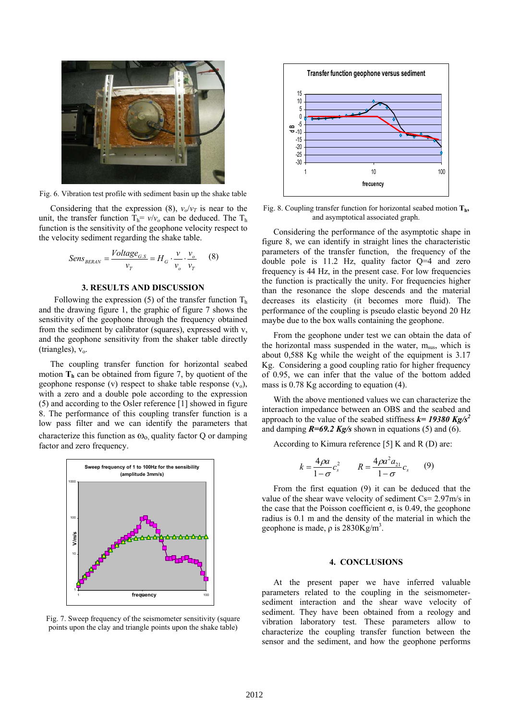

Fig. 6. Vibration test profile with sediment basin up the shake table

Considering that the expression (8),  $v_o/v_T$  is near to the unit, the transfer function  $T_h = v/v_0$  can be deduced. The  $T_h$ function is the sensitivity of the geophone velocity respect to the velocity sediment regarding the shake table.

$$
Sens_{BERAW} = \frac{Voltage_{G.S}}{v_T} = H_G \cdot \frac{v}{v_o} \cdot \frac{v_o}{v_T}
$$
 (8)

# **3. RESULTS AND DISCUSSION**

Following the expression (5) of the transfer function  $T<sub>h</sub>$ and the drawing figure 1, the graphic of figure 7 shows the sensitivity of the geophone through the frequency obtained from the sediment by calibrator (squares), expressed with v, and the geophone sensitivity from the shaker table directly (triangles),  $v_0$ .

The coupling transfer function for horizontal seabed motion  $T<sub>h</sub>$  can be obtained from figure 7, by quotient of the geophone response (v) respect to shake table response  $(v_0)$ , with a zero and a double pole according to the expression (5) and according to the Osler reference [1] showed in figure 8. The performance of this coupling transfer function is a low pass filter and we can identify the parameters that characterize this function as  $\omega_0$  quality factor Q or damping factor and zero frequency.



Fig. 7. Sweep frequency of the seismometer sensitivity (square points upon the clay and triangle points upon the shake table)



Fig. 8. Coupling transfer function for horizontal seabed motion  $T_h$ , and asymptotical associated graph.

Considering the performance of the asymptotic shape in figure 8, we can identify in straight lines the characteristic parameters of the transfer function, the frequency of the double pole is 11.2 Hz, quality factor Q=4 and zero frequency is 44 Hz, in the present case. For low frequencies the function is practically the unity. For frequencies higher than the resonance the slope descends and the material decreases its elasticity (it becomes more fluid). The performance of the coupling is pseudo elastic beyond 20 Hz maybe due to the box walls containing the geophone.

From the geophone under test we can obtain the data of the horizontal mass suspended in the water,  $m_{\text{sus}}$ , which is about 0,588 Kg while the weight of the equipment is 3.17 Kg. Considering a good coupling ratio for higher frequency of 0.95, we can infer that the value of the bottom added mass is 0.78 Kg according to equation (4).

With the above mentioned values we can characterize the interaction impedance between an OBS and the seabed and approach to the value of the seabed stiffness  $k = 19380$  Kg/s<sup>2</sup> and damping *R=69.2 Kg/s* shown in equations (5) and (6).

According to Kimura reference [5] K and R (D) are:

$$
k = \frac{4\rho a}{1-\sigma}c_s^2 \qquad R = \frac{4\rho a^2 a_{21}}{1-\sigma}c_s \qquad (9)
$$

From the first equation (9) it can be deduced that the value of the shear wave velocity of sediment Cs= 2.97m/s in the case that the Poisson coefficient σ, is 0.49, the geophone radius is 0.1 m and the density of the material in which the geophone is made,  $\rho$  is 2830Kg/m<sup>3</sup>.

#### **4. CONCLUSIONS**

At the present paper we have inferred valuable parameters related to the coupling in the seismometersediment interaction and the shear wave velocity of sediment. They have been obtained from a reology and vibration laboratory test. These parameters allow to characterize the coupling transfer function between the sensor and the sediment, and how the geophone performs